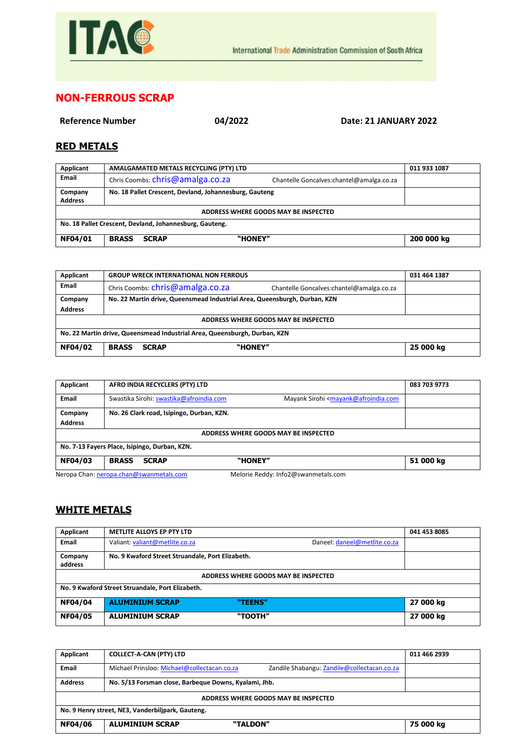

## **NON-FERROUS SCRAP**

**Reference Number 04/2022 Date: 21 JANUARY 2022**

## **RED METALS**

| Applicant                                               | AMALGAMATED METALS RECYCLING (PTY) LTD                 |                                           | 011 933 1087 |
|---------------------------------------------------------|--------------------------------------------------------|-------------------------------------------|--------------|
| Email                                                   | Chris Coombs: chris@amalga.co.za                       | Chantelle Goncalves: chantel@amalga.co.za |              |
| Company<br><b>Address</b>                               | No. 18 Pallet Crescent, Devland, Johannesburg, Gauteng |                                           |              |
| ADDRESS WHERE GOODS MAY BE INSPECTED                    |                                                        |                                           |              |
| No. 18 Pallet Crescent, Devland, Johannesburg, Gauteng. |                                                        |                                           |              |
| <b>NF04/01</b>                                          | <b>BRASS</b><br><b>SCRAP</b>                           | "HONEY"                                   | 200 000 kg   |

| Applicant                                                                 | <b>GROUP WRECK INTERNATIONAL NON FERROUS</b>                                  | 031 464 1387 |  |
|---------------------------------------------------------------------------|-------------------------------------------------------------------------------|--------------|--|
| Email                                                                     | Chris Coombs: chris@amalga.co.za<br>Chantelle Goncalves: chantel@amalga.co.za |              |  |
| Company                                                                   | No. 22 Martin drive, Queensmead Industrial Area, Queensburgh, Durban, KZN     |              |  |
| <b>Address</b>                                                            |                                                                               |              |  |
| ADDRESS WHERE GOODS MAY BE INSPECTED                                      |                                                                               |              |  |
| No. 22 Martin drive, Queensmead Industrial Area, Queensburgh, Durban, KZN |                                                                               |              |  |
| <b>NF04/02</b>                                                            | "HONEY"<br><b>BRASS</b><br><b>SCRAP</b>                                       | 25 000 kg    |  |
|                                                                           |                                                                               |              |  |

| Applicant                                     | AFRO INDIA RECYCLERS (PTY) LTD                                                                           | 083 703 9773 |  |
|-----------------------------------------------|----------------------------------------------------------------------------------------------------------|--------------|--|
| Email                                         | Mayank Sirohi <mayank@afroindia.com<br>Swastika Sirohi: swastika@afroindia.com</mayank@afroindia.com<br> |              |  |
| Company                                       | No. 26 Clark road, Isipingo, Durban, KZN.                                                                |              |  |
| <b>Address</b>                                |                                                                                                          |              |  |
| ADDRESS WHERE GOODS MAY BE INSPECTED          |                                                                                                          |              |  |
| No. 7-13 Fayers Place, Isipingo, Durban, KZN. |                                                                                                          |              |  |
| <b>NF04/03</b>                                | "HONEY"<br><b>BRASS</b><br><b>SCRAP</b>                                                                  | 51 000 kg    |  |
|                                               | Maloria Raddy: Info?@swanmatals.com<br>Nerona Chan: nerona chan@swanmetals.com                           |              |  |

Neropa Chan[: neropa.chan@swanmetals.com](mailto:neropa.chan@swanmetals.com) Melorie Reddy: Info2@swanmetals.com

## **WHITE METALS**

| Applicant                                        | <b>METLITE ALLOYS EP PTY LTD</b>                 |                              | 041 453 8085 |
|--------------------------------------------------|--------------------------------------------------|------------------------------|--------------|
| <b>Email</b>                                     | Valiant: valiant@metlite.co.za                   | Daneel: daneel@metlite.co.za |              |
| Company<br>address                               | No. 9 Kwaford Street Struandale, Port Elizabeth. |                              |              |
| ADDRESS WHERE GOODS MAY BE INSPECTED             |                                                  |                              |              |
| No. 9 Kwaford Street Struandale, Port Elizabeth. |                                                  |                              |              |
| <b>NF04/04</b>                                   | <b>ALUMINIUM SCRAP</b>                           | "TEENS"                      | 27 000 kg    |
| <b>NF04/05</b>                                   | <b>ALUMINIUM SCRAP</b>                           | "TOOTH"                      | 27 000 kg    |

| Applicant                                         | <b>COLLECT-A-CAN (PTY) LTD</b>                                                             | 011 466 2939 |  |
|---------------------------------------------------|--------------------------------------------------------------------------------------------|--------------|--|
| Email                                             | Michael Prinsloo: Michael@collectacan.co.za<br>Zandile Shabangu: Zandile@collectacan.co.za |              |  |
| <b>Address</b>                                    | No. 5/13 Forsman close, Barbeque Downs, Kyalami, Jhb.                                      |              |  |
| ADDRESS WHERE GOODS MAY BE INSPECTED              |                                                                                            |              |  |
| No. 9 Henry street, NE3, Vanderbilipark, Gauteng. |                                                                                            |              |  |
| <b>NF04/06</b>                                    | <b>ALUMINIUM SCRAP</b><br>"TALDON"                                                         | 75 000 kg    |  |